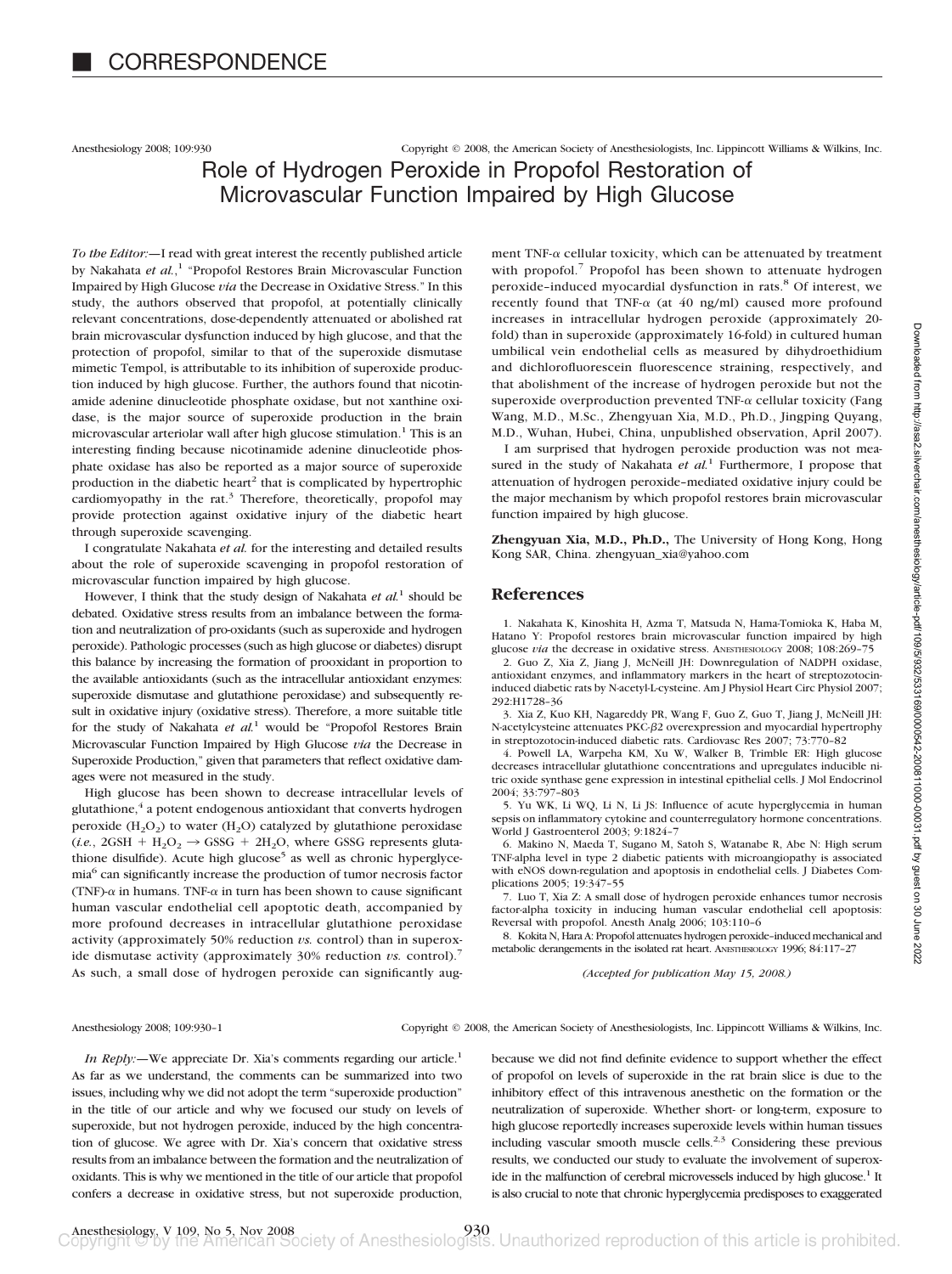Anesthesiology 2008; 109:930 Copyright © 2008, the American Society of Anesthesiologists, Inc. Lippincott Williams & Wilkins, Inc.

# Role of Hydrogen Peroxide in Propofol Restoration of Microvascular Function Impaired by High Glucose

*To the Editor:—*I read with great interest the recently published article by Nakahata *et al.*, <sup>1</sup> "Propofol Restores Brain Microvascular Function Impaired by High Glucose *via* the Decrease in Oxidative Stress." In this study, the authors observed that propofol, at potentially clinically relevant concentrations, dose-dependently attenuated or abolished rat brain microvascular dysfunction induced by high glucose, and that the protection of propofol, similar to that of the superoxide dismutase mimetic Tempol, is attributable to its inhibition of superoxide production induced by high glucose. Further, the authors found that nicotinamide adenine dinucleotide phosphate oxidase, but not xanthine oxidase, is the major source of superoxide production in the brain microvascular arteriolar wall after high glucose stimulation.<sup>1</sup> This is an interesting finding because nicotinamide adenine dinucleotide phosphate oxidase has also be reported as a major source of superoxide production in the diabetic heart<sup>2</sup> that is complicated by hypertrophic cardiomyopathy in the rat. $3$  Therefore, theoretically, propofol may provide protection against oxidative injury of the diabetic heart through superoxide scavenging.

I congratulate Nakahata *et al.* for the interesting and detailed results about the role of superoxide scavenging in propofol restoration of microvascular function impaired by high glucose.

However, I think that the study design of Nakahata *et al.*<sup>1</sup> should be debated. Oxidative stress results from an imbalance between the formation and neutralization of pro-oxidants (such as superoxide and hydrogen peroxide). Pathologic processes (such as high glucose or diabetes) disrupt this balance by increasing the formation of prooxidant in proportion to the available antioxidants (such as the intracellular antioxidant enzymes: superoxide dismutase and glutathione peroxidase) and subsequently result in oxidative injury (oxidative stress). Therefore, a more suitable title for the study of Nakahata *et al.*<sup>1</sup> would be "Propofol Restores Brain Microvascular Function Impaired by High Glucose *via* the Decrease in Superoxide Production," given that parameters that reflect oxidative damages were not measured in the study.

High glucose has been shown to decrease intracellular levels of glutathione,<sup>4</sup> a potent endogenous antioxidant that converts hydrogen peroxide  $(H_2O_2)$  to water  $(H_2O)$  catalyzed by glutathione peroxidase  $(i.e., 2GSH + H<sub>2</sub>O<sub>2</sub> \rightarrow GSSG + 2H<sub>2</sub>O$ , where GSSG represents glutathione disulfide). Acute high glucose<sup>5</sup> as well as chronic hyperglycemia6 can significantly increase the production of tumor necrosis factor (TNF)- $\alpha$  in humans. TNF- $\alpha$  in turn has been shown to cause significant human vascular endothelial cell apoptotic death, accompanied by more profound decreases in intracellular glutathione peroxidase activity (approximately 50% reduction *vs.* control) than in superoxide dismutase activity (approximately 30% reduction *vs.* control).<sup>7</sup> As such, a small dose of hydrogen peroxide can significantly aug-

ment TNF- $\alpha$  cellular toxicity, which can be attenuated by treatment with propofol.<sup>7</sup> Propofol has been shown to attenuate hydrogen peroxide-induced myocardial dysfunction in rats.<sup>8</sup> Of interest, we recently found that TNF- $\alpha$  (at 40 ng/ml) caused more profound increases in intracellular hydrogen peroxide (approximately 20 fold) than in superoxide (approximately 16-fold) in cultured human umbilical vein endothelial cells as measured by dihydroethidium and dichlorofluorescein fluorescence straining, respectively, and that abolishment of the increase of hydrogen peroxide but not the superoxide overproduction prevented TNF- $\alpha$  cellular toxicity (Fang Wang, M.D., M.Sc., Zhengyuan Xia, M.D., Ph.D., Jingping Quyang, M.D., Wuhan, Hubei, China, unpublished observation, April 2007).

I am surprised that hydrogen peroxide production was not measured in the study of Nakahata et al.<sup>1</sup> Furthermore, I propose that attenuation of hydrogen peroxide–mediated oxidative injury could be the major mechanism by which propofol restores brain microvascular function impaired by high glucose.

**Zhengyuan Xia, M.D., Ph.D.,** The University of Hong Kong, Hong Kong SAR, China. zhengyuan\_xia@yahoo.com

## **References**

1. Nakahata K, Kinoshita H, Azma T, Matsuda N, Hama-Tomioka K, Haba M, Hatano Y: Propofol restores brain microvascular function impaired by high glucose *via* the decrease in oxidative stress. ANESTHESIOLOGY 2008; 108:269-75 2. Guo Z, Xia Z, Jiang J, McNeill JH: Downregulation of NADPH oxidase, antioxidant enzymes, and inflammatory markers in the heart of streptozotocininduced diabetic rats by N-acetyl-L-cysteine. Am J Physiol Heart Circ Physiol 2007; 292:H1728–36

3. Xia Z, Kuo KH, Nagareddy PR, Wang F, Guo Z, Guo T, Jiang J, McNeill JH: N-acetylcysteine attenuates PKC- $\beta$ 2 overexpression and myocardial hypertrophy in streptozotocin-induced diabetic rats. Cardiovasc Res 2007; 73:770–82

4. Powell LA, Warpeha KM, Xu W, Walker B, Trimble ER: High glucose decreases intracellular glutathione concentrations and upregulates inducible nitric oxide synthase gene expression in intestinal epithelial cells. J Mol Endocrinol 2004; 33:797–803

5. Yu WK, Li WQ, Li N, Li JS: Influence of acute hyperglycemia in human sepsis on inflammatory cytokine and counterregulatory hormone concentrations. World J Gastroenterol 2003; 9:1824–7

6. Makino N, Maeda T, Sugano M, Satoh S, Watanabe R, Abe N: High serum TNF-alpha level in type 2 diabetic patients with microangiopathy is associated with eNOS down-regulation and apoptosis in endothelial cells. J Diabetes Complications 2005; 19:347–55

7. Luo T, Xia Z: A small dose of hydrogen peroxide enhances tumor necrosis factor-alpha toxicity in inducing human vascular endothelial cell apoptosis: Reversal with propofol. Anesth Analg 2006; 103:110–6

8. Kokita N, Hara A: Propofol attenuates hydrogen peroxide–induced mechanical and metabolic derangements in the isolated rat heart. ANESTHESIOLOGY 1996; 84:117–27

*(Accepted for publication May 15, 2008.)*

Anesthesiology 2008; 109:930–1 Copyright © 2008, the American Society of Anesthesiologists, Inc. Lippincott Williams & Wilkins, Inc.

*In Reply:*—We appreciate Dr. Xia's comments regarding our article.<sup>1</sup> As far as we understand, the comments can be summarized into two issues, including why we did not adopt the term "superoxide production" in the title of our article and why we focused our study on levels of superoxide, but not hydrogen peroxide, induced by the high concentration of glucose. We agree with Dr. Xia's concern that oxidative stress results from an imbalance between the formation and the neutralization of oxidants. This is why we mentioned in the title of our article that propofol confers a decrease in oxidative stress, but not superoxide production,

because we did not find definite evidence to support whether the effect of propofol on levels of superoxide in the rat brain slice is due to the inhibitory effect of this intravenous anesthetic on the formation or the neutralization of superoxide. Whether short- or long-term, exposure to high glucose reportedly increases superoxide levels within human tissues including vascular smooth muscle cells. $2,3$  Considering these previous results, we conducted our study to evaluate the involvement of superoxide in the malfunction of cerebral microvessels induced by high glucose.<sup>1</sup> It is also crucial to note that chronic hyperglycemia predisposes to exaggerated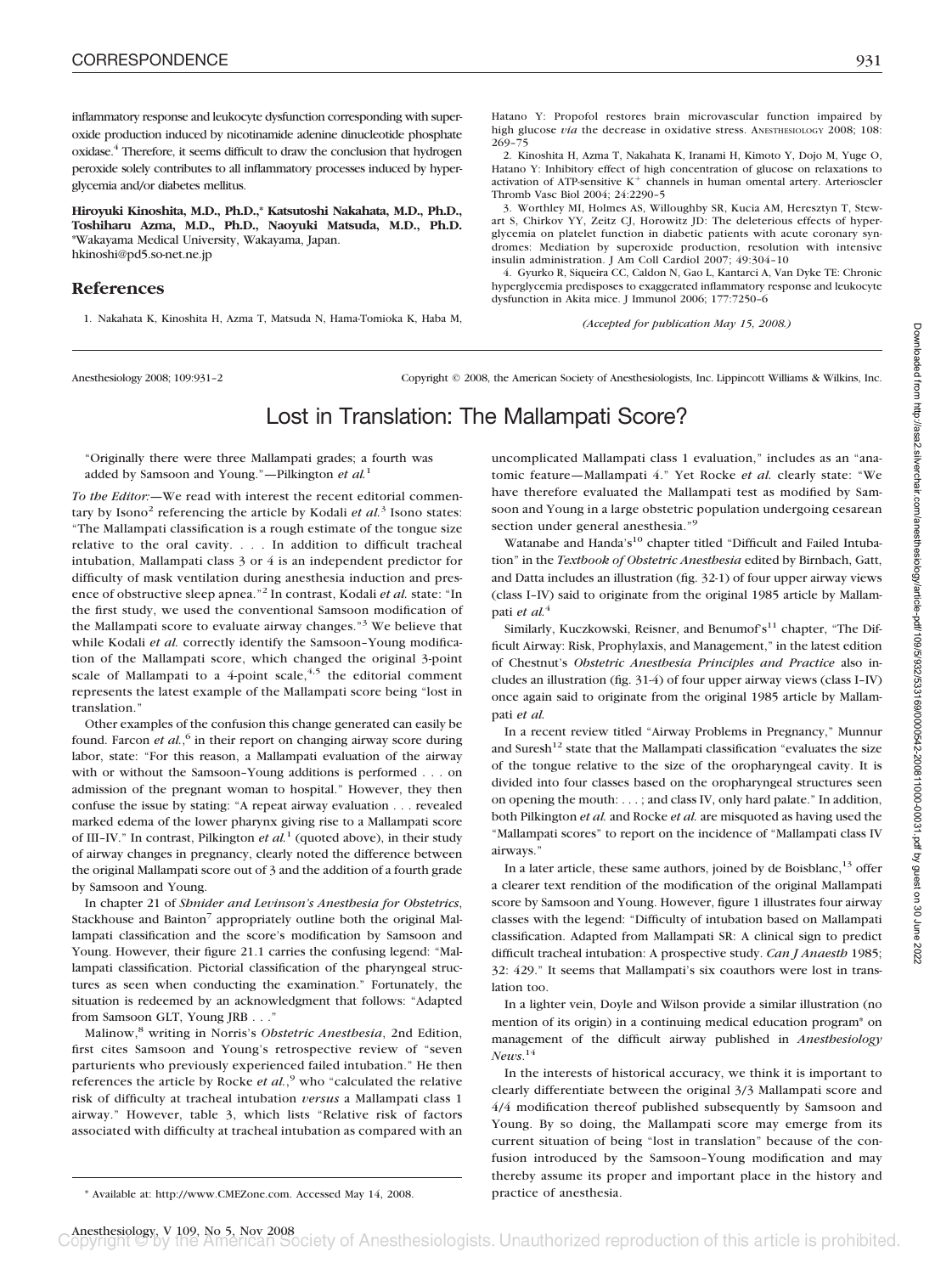inflammatory response and leukocyte dysfunction corresponding with superoxide production induced by nicotinamide adenine dinucleotide phosphate oxidase.4 Therefore, it seems difficult to draw the conclusion that hydrogen peroxide solely contributes to all inflammatory processes induced by hyperglycemia and/or diabetes mellitus.

**Hiroyuki Kinoshita, M.D., Ph.D.,\* Katsutoshi Nakahata, M.D., Ph.D., Toshiharu Azma, M.D., Ph.D., Naoyuki Matsuda, M.D., Ph.D.** \*Wakayama Medical University, Wakayama, Japan. hkinoshi@pd5.so-net.ne.jp

### **References**

1. Nakahata K, Kinoshita H, Azma T, Matsuda N, Hama-Tomioka K, Haba M,

Hatano Y: Propofol restores brain microvascular function impaired by high glucose *via* the decrease in oxidative stress. ANESTHESIOLOGY 2008; 108: 269–75

2. Kinoshita H, Azma T, Nakahata K, Iranami H, Kimoto Y, Dojo M, Yuge O, Hatano Y: Inhibitory effect of high concentration of glucose on relaxations to activation of ATP-sensitive  $K^+$  channels in human omental artery. Arterioscler Thromb Vasc Biol 2004; 24:2290–5

3. Worthley MI, Holmes AS, Willoughby SR, Kucia AM, Heresztyn T, Stewart S, Chirkov YY, Zeitz CJ, Horowitz JD: The deleterious effects of hyperglycemia on platelet function in diabetic patients with acute coronary syndromes: Mediation by superoxide production, resolution with intensive insulin administration. J Am Coll Cardiol 2007; 49:304–10

4. Gyurko R, Siqueira CC, Caldon N, Gao L, Kantarci A, Van Dyke TE: Chronic hyperglycemia predisposes to exaggerated inflammatory response and leukocyte dysfunction in Akita mice. J Immunol 2006; 177:7250–6

*(Accepted for publication May 15, 2008.)*

Anesthesiology 2008; 109:931–2 Copyright © 2008, the American Society of Anesthesiologists, Inc. Lippincott Williams & Wilkins, Inc.

# Lost in Translation: The Mallampati Score?

"Originally there were three Mallampati grades; a fourth was added by Samsoon and Young."—Pilkington *et al.*<sup>1</sup>

*To the Editor:—*We read with interest the recent editorial commentary by Isono<sup>2</sup> referencing the article by Kodali *et al.*<sup>3</sup> Isono states: "The Mallampati classification is a rough estimate of the tongue size relative to the oral cavity. . . . In addition to difficult tracheal intubation, Mallampati class 3 or 4 is an independent predictor for difficulty of mask ventilation during anesthesia induction and presence of obstructive sleep apnea."<sup>2</sup> In contrast, Kodali *et al.* state: "In the first study, we used the conventional Samsoon modification of the Mallampati score to evaluate airway changes."<sup>3</sup> We believe that while Kodali et al. correctly identify the Samsoon-Young modification of the Mallampati score, which changed the original 3-point scale of Mallampati to a 4-point scale,  $4.5$  the editorial comment represents the latest example of the Mallampati score being "lost in translation."

Other examples of the confusion this change generated can easily be found. Farcon *et al.*,<sup>6</sup> in their report on changing airway score during labor, state: "For this reason, a Mallampati evaluation of the airway with or without the Samsoon–Young additions is performed . . . on admission of the pregnant woman to hospital." However, they then confuse the issue by stating: "A repeat airway evaluation... revealed marked edema of the lower pharynx giving rise to a Mallampati score of III–IV." In contrast, Pilkington *et al.*<sup>1</sup> (quoted above), in their study of airway changes in pregnancy, clearly noted the difference between the original Mallampati score out of 3 and the addition of a fourth grade by Samsoon and Young.

In chapter 21 of *Shnider and Levinson's Anesthesia for Obstetrics*, Stackhouse and Bainton<sup>7</sup> appropriately outline both the original Mallampati classification and the score's modification by Samsoon and Young. However, their figure 21.1 carries the confusing legend: "Mallampati classification. Pictorial classification of the pharyngeal structures as seen when conducting the examination." Fortunately, the situation is redeemed by an acknowledgment that follows: "Adapted from Samsoon GLT, Young JRB . . ."

Malinow,<sup>8</sup> writing in Norris's *Obstetric Anesthesia*, 2nd Edition, first cites Samsoon and Young's retrospective review of "seven parturients who previously experienced failed intubation." He then references the article by Rocke *et al.*,<sup>9</sup> who "calculated the relative risk of difficulty at tracheal intubation *versus* a Mallampati class 1 airway." However, table 3, which lists "Relative risk of factors associated with difficulty at tracheal intubation as compared with an uncomplicated Mallampati class 1 evaluation," includes as an "anatomic feature—Mallampati 4." Yet Rocke *et al.* clearly state: "We have therefore evaluated the Mallampati test as modified by Samsoon and Young in a large obstetric population undergoing cesarean section under general anesthesia."<sup>9</sup>

Watanabe and Handa's<sup>10</sup> chapter titled "Difficult and Failed Intubation" in the *Textbook of Obstetric Anesthesia* edited by Birnbach, Gatt, and Datta includes an illustration (fig. 32-1) of four upper airway views (class I–IV) said to originate from the original 1985 article by Mallampati *et al.*<sup>4</sup>

Similarly, Kuczkowski, Reisner, and Benumof's $^{11}$  chapter, "The Difficult Airway: Risk, Prophylaxis, and Management," in the latest edition of Chestnut's *Obstetric Anesthesia Principles and Practice* also includes an illustration (fig. 31-4) of four upper airway views (class I–IV) once again said to originate from the original 1985 article by Mallampati *et al.*

In a recent review titled "Airway Problems in Pregnancy," Munnur and Suresh<sup>12</sup> state that the Mallampati classification "evaluates the size of the tongue relative to the size of the oropharyngeal cavity. It is divided into four classes based on the oropharyngeal structures seen on opening the mouth: . . . ; and class IV, only hard palate." In addition, both Pilkington *et al.* and Rocke *et al.* are misquoted as having used the "Mallampati scores" to report on the incidence of "Mallampati class IV airways."

In a later article, these same authors, joined by de Boisblanc,  $13$  offer a clearer text rendition of the modification of the original Mallampati score by Samsoon and Young. However, figure 1 illustrates four airway classes with the legend: "Difficulty of intubation based on Mallampati classification. Adapted from Mallampati SR: A clinical sign to predict difficult tracheal intubation: A prospective study. *Can J Anaesth* 1985; 32: 429." It seems that Mallampati's six coauthors were lost in translation too.

In a lighter vein, Doyle and Wilson provide a similar illustration (no mention of its origin) in a continuing medical education program\* on management of the difficult airway published in *Anesthesiology News*. 14

In the interests of historical accuracy, we think it is important to clearly differentiate between the original 3/3 Mallampati score and 4/4 modification thereof published subsequently by Samsoon and Young. By so doing, the Mallampati score may emerge from its current situation of being "lost in translation" because of the confusion introduced by the Samsoon–Young modification and may thereby assume its proper and important place in the history and

<sup>\*</sup> Available at: http://www.CMEZone.com. Accessed May 14, 2008. practice of anesthesia.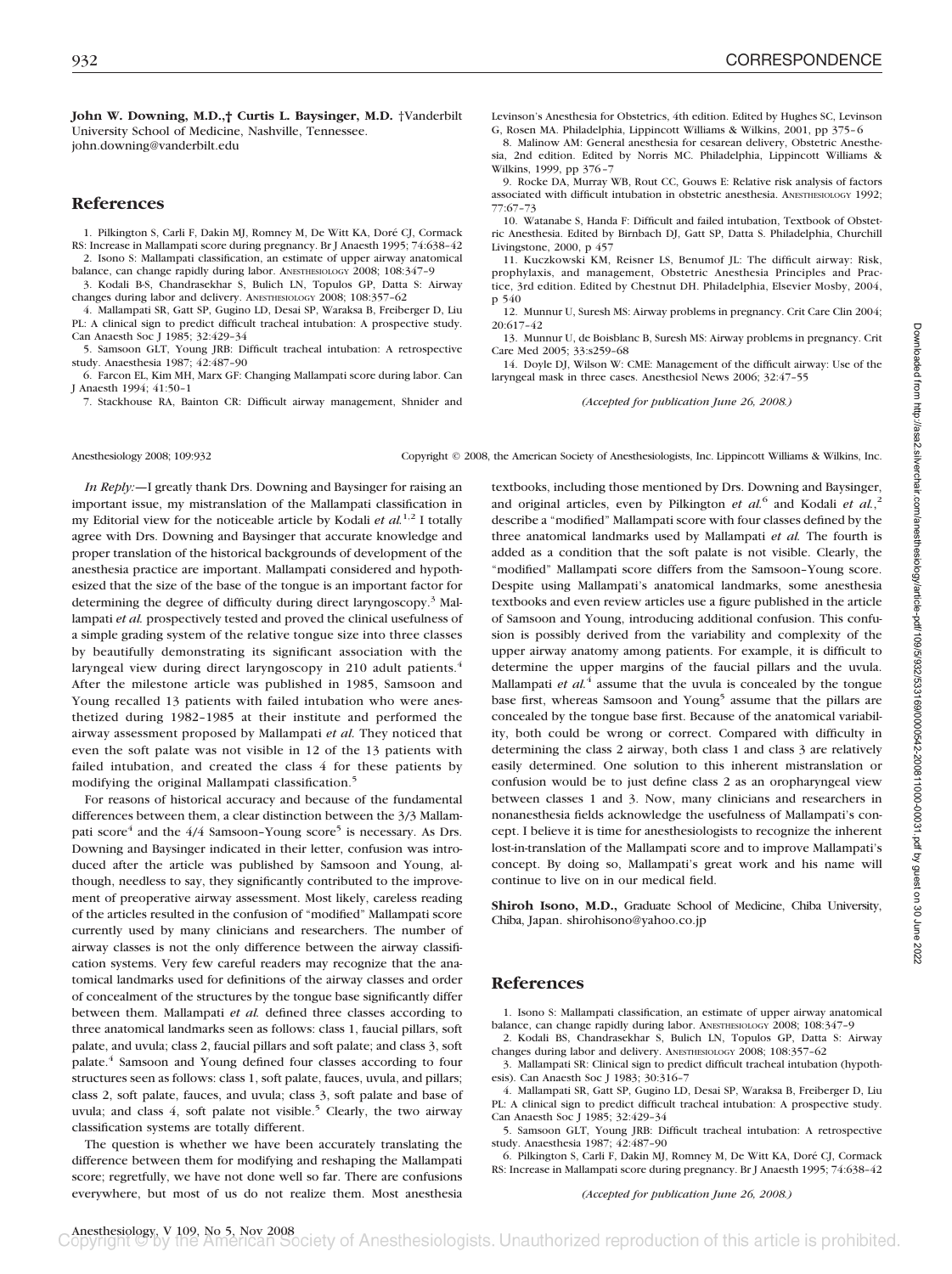**John W. Downing, M.D.,† Curtis L. Baysinger, M.D.** †Vanderbilt University School of Medicine, Nashville, Tennessee. john.downing@vanderbilt.edu

## **References**

1. Pilkington S, Carli F, Dakin MJ, Romney M, De Witt KA, Doré CJ, Cormack RS: Increase in Mallampati score during pregnancy. Br J Anaesth 1995; 74:638–42 2. Isono S: Mallampati classification, an estimate of upper airway anatomical

balance, can change rapidly during labor. ANESTHESIOLOGY 2008; 108:347–9 3. Kodali B-S, Chandrasekhar S, Bulich LN, Topulos GP, Datta S: Airway

changes during labor and delivery. ANESTHESIOLOGY 2008; 108:357–62 4. Mallampati SR, Gatt SP, Gugino LD, Desai SP, Waraksa B, Freiberger D, Liu PL: A clinical sign to predict difficult tracheal intubation: A prospective study. Can Anaesth Soc J 1985; 32:429–34

5. Samsoon GLT, Young JRB: Difficult tracheal intubation: A retrospective study. Anaesthesia 1987; 42:487–90

6. Farcon EL, Kim MH, Marx GF: Changing Mallampati score during labor. Can J Anaesth 1994; 41:50–1

7. Stackhouse RA, Bainton CR: Difficult airway management, Shnider and

Levinson's Anesthesia for Obstetrics, 4th edition. Edited by Hughes SC, Levinson G, Rosen MA. Philadelphia, Lippincott Williams & Wilkins, 2001, pp 375–6 8. Malinow AM: General anesthesia for cesarean delivery, Obstetric Anesthe-

sia, 2nd edition. Edited by Norris MC. Philadelphia, Lippincott Williams & Wilkins, 1999, pp 376–7

9. Rocke DA, Murray WB, Rout CC, Gouws E: Relative risk analysis of factors associated with difficult intubation in obstetric anesthesia. ANESTHESIOLOGY 1992; 77:67–73

10. Watanabe S, Handa F: Difficult and failed intubation, Textbook of Obstetric Anesthesia. Edited by Birnbach DJ, Gatt SP, Datta S. Philadelphia, Churchill Livingstone, 2000, p $45$ 7

11. Kuczkowski KM, Reisner LS, Benumof JL: The difficult airway: Risk, prophylaxis, and management, Obstetric Anesthesia Principles and Practice, 3rd edition. Edited by Chestnut DH. Philadelphia, Elsevier Mosby, 2004, p 540

12. Munnur U, Suresh MS: Airway problems in pregnancy. Crit Care Clin 2004; 20:617–42

13. Munnur U, de Boisblanc B, Suresh MS: Airway problems in pregnancy. Crit Care Med 2005; 33:s259–68

14. Doyle DJ, Wilson W: CME: Management of the difficult airway: Use of the laryngeal mask in three cases. Anesthesiol News 2006; 32:47–55

*(Accepted for publication June 26, 2008.)*

Anesthesiology 2008; 109:932 Copyright © 2008, the American Society of Anesthesiologists, Inc. Lippincott Williams & Wilkins, Inc.

*In Reply:—*I greatly thank Drs. Downing and Baysinger for raising an important issue, my mistranslation of the Mallampati classification in my Editorial view for the noticeable article by Kodali *et al.*<sup>1,2</sup> I totally agree with Drs. Downing and Baysinger that accurate knowledge and proper translation of the historical backgrounds of development of the anesthesia practice are important. Mallampati considered and hypothesized that the size of the base of the tongue is an important factor for determining the degree of difficulty during direct laryngoscopy.<sup>3</sup> Mallampati *et al.* prospectively tested and proved the clinical usefulness of a simple grading system of the relative tongue size into three classes by beautifully demonstrating its significant association with the laryngeal view during direct laryngoscopy in 210 adult patients.<sup>4</sup> After the milestone article was published in 1985, Samsoon and Young recalled 13 patients with failed intubation who were anesthetized during 1982–1985 at their institute and performed the airway assessment proposed by Mallampati *et al.* They noticed that even the soft palate was not visible in 12 of the 13 patients with failed intubation, and created the class 4 for these patients by modifying the original Mallampati classification.<sup>5</sup>

For reasons of historical accuracy and because of the fundamental differences between them, a clear distinction between the 3/3 Mallampati score $4$  and the  $4/4$  Samsoon–Young score<sup>5</sup> is necessary. As Drs. Downing and Baysinger indicated in their letter, confusion was introduced after the article was published by Samsoon and Young, although, needless to say, they significantly contributed to the improvement of preoperative airway assessment. Most likely, careless reading of the articles resulted in the confusion of "modified" Mallampati score currently used by many clinicians and researchers. The number of airway classes is not the only difference between the airway classification systems. Very few careful readers may recognize that the anatomical landmarks used for definitions of the airway classes and order of concealment of the structures by the tongue base significantly differ between them. Mallampati *et al.* defined three classes according to three anatomical landmarks seen as follows: class 1, faucial pillars, soft palate, and uvula; class 2, faucial pillars and soft palate; and class 3, soft palate.4 Samsoon and Young defined four classes according to four structures seen as follows: class 1, soft palate, fauces, uvula, and pillars; class 2, soft palate, fauces, and uvula; class 3, soft palate and base of uvula; and class 4, soft palate not visible.<sup>5</sup> Clearly, the two airway classification systems are totally different.

The question is whether we have been accurately translating the difference between them for modifying and reshaping the Mallampati score; regretfully, we have not done well so far. There are confusions everywhere, but most of us do not realize them. Most anesthesia textbooks, including those mentioned by Drs. Downing and Baysinger, and original articles, even by Pilkington *et al.*<sup>6</sup> and Kodali *et al.*,<sup>2</sup> describe a "modified" Mallampati score with four classes defined by the three anatomical landmarks used by Mallampati *et al.* The fourth is added as a condition that the soft palate is not visible. Clearly, the "modified" Mallampati score differs from the Samsoon–Young score. Despite using Mallampati's anatomical landmarks, some anesthesia textbooks and even review articles use a figure published in the article of Samsoon and Young, introducing additional confusion. This confusion is possibly derived from the variability and complexity of the upper airway anatomy among patients. For example, it is difficult to determine the upper margins of the faucial pillars and the uvula. Mallampati *et al.*<sup>4</sup> assume that the uvula is concealed by the tongue base first, whereas Samsoon and Young<sup>5</sup> assume that the pillars are concealed by the tongue base first. Because of the anatomical variability, both could be wrong or correct. Compared with difficulty in determining the class 2 airway, both class 1 and class 3 are relatively easily determined. One solution to this inherent mistranslation or confusion would be to just define class 2 as an oropharyngeal view between classes 1 and 3. Now, many clinicians and researchers in nonanesthesia fields acknowledge the usefulness of Mallampati's concept. I believe it is time for anesthesiologists to recognize the inherent lost-in-translation of the Mallampati score and to improve Mallampati's concept. By doing so, Mallampati's great work and his name will continue to live on in our medical field.

**Shiroh Isono, M.D.,** Graduate School of Medicine, Chiba University, Chiba, Japan. shirohisono@yahoo.co.jp

## **References**

1. Isono S: Mallampati classification, an estimate of upper airway anatomical balance, can change rapidly during labor. ANESTHESIOLOGY 2008; 108:347–9

2. Kodali BS, Chandrasekhar S, Bulich LN, Topulos GP, Datta S: Airway changes during labor and delivery. ANESTHESIOLOGY 2008; 108:357–62

3. Mallampati SR: Clinical sign to predict difficult tracheal intubation (hypothesis). Can Anaesth Soc J 1983; 30:316–7

4. Mallampati SR, Gatt SP, Gugino LD, Desai SP, Waraksa B, Freiberger D, Liu PL: A clinical sign to predict difficult tracheal intubation: A prospective study. Can Anaesth Soc J 1985; 32:429–34

5. Samsoon GLT, Young JRB: Difficult tracheal intubation: A retrospective study. Anaesthesia 1987; 42:487–90

6. Pilkington S, Carli F, Dakin MJ, Romney M, De Witt KA, Dore´ CJ, Cormack RS: Increase in Mallampati score during pregnancy. Br J Anaesth 1995; 74:638–42

*(Accepted for publication June 26, 2008.)*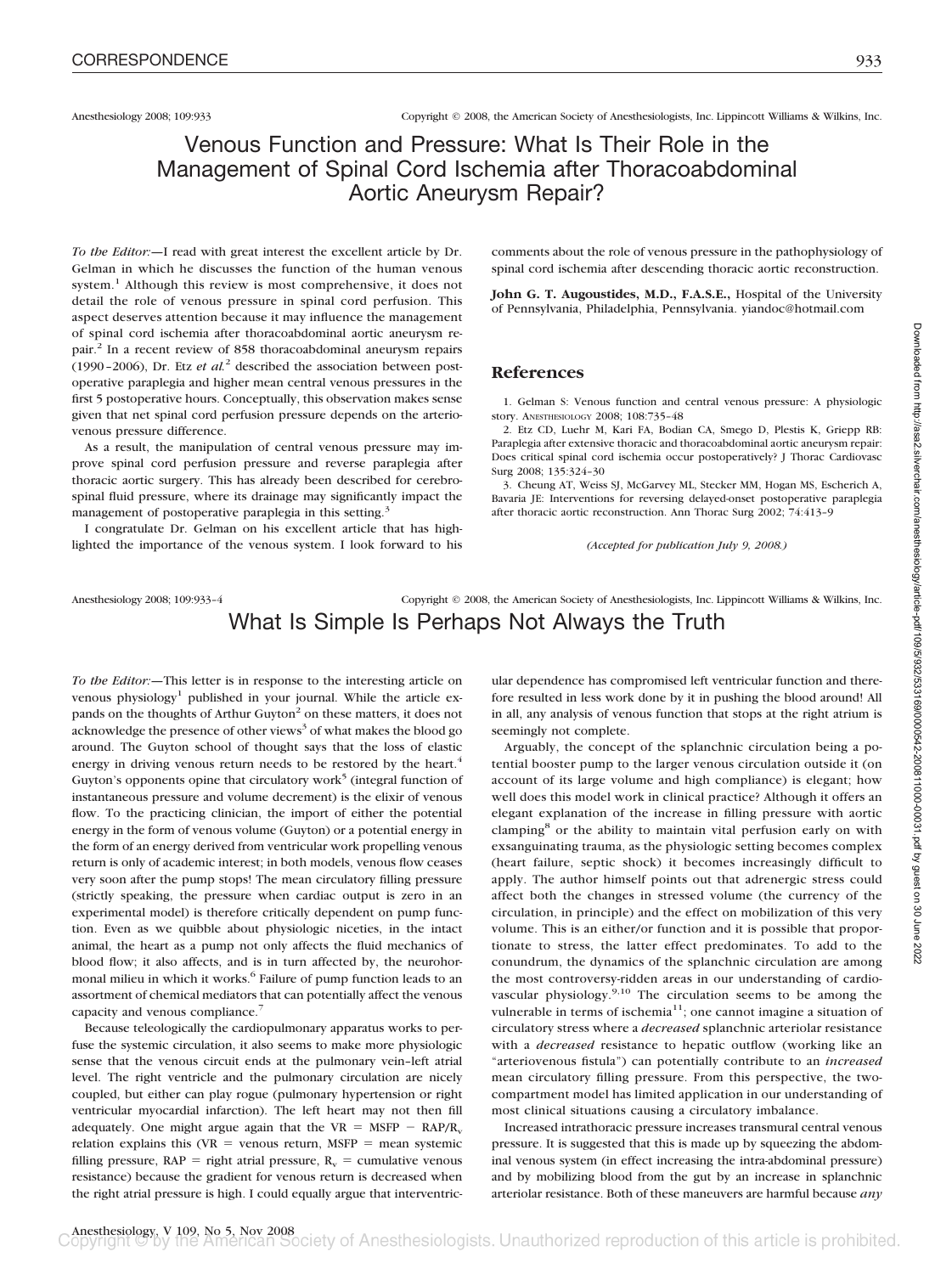# Venous Function and Pressure: What Is Their Role in the Management of Spinal Cord Ischemia after Thoracoabdominal Aortic Aneurysm Repair?

*To the Editor:—*I read with great interest the excellent article by Dr. Gelman in which he discusses the function of the human venous system.<sup>1</sup> Although this review is most comprehensive, it does not detail the role of venous pressure in spinal cord perfusion. This aspect deserves attention because it may influence the management of spinal cord ischemia after thoracoabdominal aortic aneurysm repair.2 In a recent review of 858 thoracoabdominal aneurysm repairs (1990–2006), Dr. Etz *et al.*<sup>2</sup> described the association between postoperative paraplegia and higher mean central venous pressures in the first 5 postoperative hours. Conceptually, this observation makes sense given that net spinal cord perfusion pressure depends on the arteriovenous pressure difference.

As a result, the manipulation of central venous pressure may improve spinal cord perfusion pressure and reverse paraplegia after thoracic aortic surgery. This has already been described for cerebrospinal fluid pressure, where its drainage may significantly impact the management of postoperative paraplegia in this setting.<sup>3</sup>

I congratulate Dr. Gelman on his excellent article that has highlighted the importance of the venous system. I look forward to his comments about the role of venous pressure in the pathophysiology of spinal cord ischemia after descending thoracic aortic reconstruction.

**John G. T. Augoustides, M.D., F.A.S.E.,** Hospital of the University of Pennsylvania, Philadelphia, Pennsylvania. yiandoc@hotmail.com

### **References**

1. Gelman S: Venous function and central venous pressure: A physiologic story. ANESTHESIOLOGY 2008; 108:735–48

2. Etz CD, Luehr M, Kari FA, Bodian CA, Smego D, Plestis K, Griepp RB: Paraplegia after extensive thoracic and thoracoabdominal aortic aneurysm repair: Does critical spinal cord ischemia occur postoperatively? J Thorac Cardiovasc Surg 2008; 135:324–30

3. Cheung AT, Weiss SJ, McGarvey ML, Stecker MM, Hogan MS, Escherich A, Bavaria JE: Interventions for reversing delayed-onset postoperative paraplegia after thoracic aortic reconstruction. Ann Thorac Surg 2002; 74:413–9

*(Accepted for publication July 9, 2008.)*

## Anesthesiology 2008; 109:933-4 Copyright © 2008, the American Society of Anesthesiologists, Inc. Lippincott Williams & Wilkins, Inc. What Is Simple Is Perhaps Not Always the Truth

*To the Editor:—*This letter is in response to the interesting article on venous physiology<sup>1</sup> published in your journal. While the article expands on the thoughts of Arthur Guyton<sup>2</sup> on these matters, it does not acknowledge the presence of other views<sup>3</sup> of what makes the blood go around. The Guyton school of thought says that the loss of elastic energy in driving venous return needs to be restored by the heart.<sup>4</sup> Guyton's opponents opine that circulatory work<sup>5</sup> (integral function of instantaneous pressure and volume decrement) is the elixir of venous flow. To the practicing clinician, the import of either the potential energy in the form of venous volume (Guyton) or a potential energy in the form of an energy derived from ventricular work propelling venous return is only of academic interest; in both models, venous flow ceases very soon after the pump stops! The mean circulatory filling pressure (strictly speaking, the pressure when cardiac output is zero in an experimental model) is therefore critically dependent on pump function. Even as we quibble about physiologic niceties, in the intact animal, the heart as a pump not only affects the fluid mechanics of blood flow; it also affects, and is in turn affected by, the neurohormonal milieu in which it works.<sup>6</sup> Failure of pump function leads to an assortment of chemical mediators that can potentially affect the venous capacity and venous compliance.<sup>7</sup>

Because teleologically the cardiopulmonary apparatus works to perfuse the systemic circulation, it also seems to make more physiologic sense that the venous circuit ends at the pulmonary vein–left atrial level. The right ventricle and the pulmonary circulation are nicely coupled, but either can play rogue (pulmonary hypertension or right ventricular myocardial infarction). The left heart may not then fill adequately. One might argue again that the  $VR = MSFP - RAP/R_v$ relation explains this  $(VR =$  venous return, MSFP = mean systemic filling pressure,  $\text{RAP} = \text{right}$  atrial pressure,  $\text{R}_v = \text{cumulative}$  venous resistance) because the gradient for venous return is decreased when the right atrial pressure is high. I could equally argue that interventricular dependence has compromised left ventricular function and therefore resulted in less work done by it in pushing the blood around! All in all, any analysis of venous function that stops at the right atrium is seemingly not complete.

Arguably, the concept of the splanchnic circulation being a potential booster pump to the larger venous circulation outside it (on account of its large volume and high compliance) is elegant; how well does this model work in clinical practice? Although it offers an elegant explanation of the increase in filling pressure with aortic clamping<sup>8</sup> or the ability to maintain vital perfusion early on with exsanguinating trauma, as the physiologic setting becomes complex (heart failure, septic shock) it becomes increasingly difficult to apply. The author himself points out that adrenergic stress could affect both the changes in stressed volume (the currency of the circulation, in principle) and the effect on mobilization of this very volume. This is an either/or function and it is possible that proportionate to stress, the latter effect predominates. To add to the conundrum, the dynamics of the splanchnic circulation are among the most controversy-ridden areas in our understanding of cardiovascular physiology.<sup>9,10</sup> The circulation seems to be among the vulnerable in terms of ischemia<sup>11</sup>; one cannot imagine a situation of circulatory stress where a *decreased* splanchnic arteriolar resistance with a *decreased* resistance to hepatic outflow (working like an "arteriovenous fistula") can potentially contribute to an *increased* mean circulatory filling pressure. From this perspective, the twocompartment model has limited application in our understanding of most clinical situations causing a circulatory imbalance.

Increased intrathoracic pressure increases transmural central venous pressure. It is suggested that this is made up by squeezing the abdominal venous system (in effect increasing the intra-abdominal pressure) and by mobilizing blood from the gut by an increase in splanchnic arteriolar resistance. Both of these maneuvers are harmful because *any*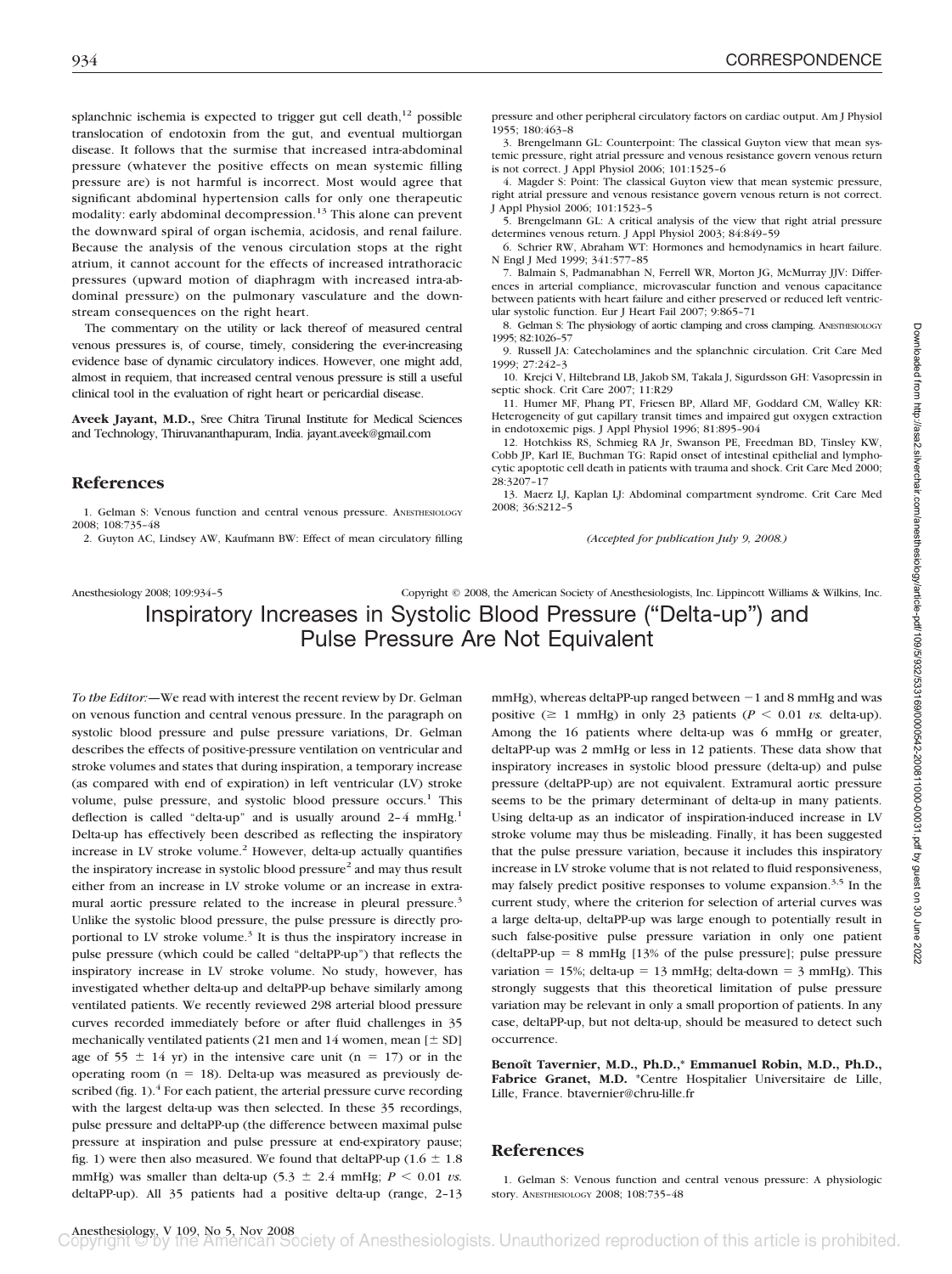splanchnic ischemia is expected to trigger gut cell death, $^{12}$  possible translocation of endotoxin from the gut, and eventual multiorgan disease. It follows that the surmise that increased intra-abdominal pressure (whatever the positive effects on mean systemic filling pressure are) is not harmful is incorrect. Most would agree that significant abdominal hypertension calls for only one therapeutic modality: early abdominal decompression.<sup>13</sup> This alone can prevent the downward spiral of organ ischemia, acidosis, and renal failure. Because the analysis of the venous circulation stops at the right atrium, it cannot account for the effects of increased intrathoracic pressures (upward motion of diaphragm with increased intra-abdominal pressure) on the pulmonary vasculature and the downstream consequences on the right heart.

The commentary on the utility or lack thereof of measured central venous pressures is, of course, timely, considering the ever-increasing evidence base of dynamic circulatory indices. However, one might add, almost in requiem, that increased central venous pressure is still a useful clinical tool in the evaluation of right heart or pericardial disease.

**Aveek Jayant, M.D.,** Sree Chitra Tirunal Institute for Medical Sciences and Technology, Thiruvananthapuram, India. jayant.aveek@gmail.com

### **References**

1. Gelman S: Venous function and central venous pressure. ANESTHESIOLOGY 2008; 108:735–48

2. Guyton AC, Lindsey AW, Kaufmann BW: Effect of mean circulatory filling

pressure and other peripheral circulatory factors on cardiac output. Am J Physiol 1955; 180:463–8

3. Brengelmann GL: Counterpoint: The classical Guyton view that mean systemic pressure, right atrial pressure and venous resistance govern venous return is not correct. J Appl Physiol 2006; 101:1525–6

4. Magder S: Point: The classical Guyton view that mean systemic pressure, right atrial pressure and venous resistance govern venous return is not correct. J Appl Physiol 2006; 101:1523–5

5. Brengelmann GL: A critical analysis of the view that right atrial pressure determines venous return. J Appl Physiol 2003; 84:849–59

6. Schrier RW, Abraham WT: Hormones and hemodynamics in heart failure. N Engl J Med 1999; 341:577–85

7. Balmain S, Padmanabhan N, Ferrell WR, Morton JG, McMurray JJV: Differences in arterial compliance, microvascular function and venous capacitance between patients with heart failure and either preserved or reduced left ventricular systolic function. Eur J Heart Fail 2007; 9:865–71

8. Gelman S: The physiology of aortic clamping and cross clamping. ANESTHESIOLOGY 1995; 82:1026–57

9. Russell JA: Catecholamines and the splanchnic circulation. Crit Care Med 1999; 27:242–3

10. Krejci V, Hiltebrand LB, Jakob SM, Takala J, Sigurdsson GH: Vasopressin in septic shock. Crit Care 2007; 11:R29

11. Humer MF, Phang PT, Friesen BP, Allard MF, Goddard CM, Walley KR: Heterogeneity of gut capillary transit times and impaired gut oxygen extraction in endotoxemic pigs. J Appl Physiol 1996; 81:895–904

12. Hotchkiss RS, Schmieg RA Jr, Swanson PE, Freedman BD, Tinsley KW, Cobb JP, Karl IE, Buchman TG: Rapid onset of intestinal epithelial and lymphocytic apoptotic cell death in patients with trauma and shock. Crit Care Med 2000; 28:3207–17

13. Maerz LJ, Kaplan LJ: Abdominal compartment syndrome. Crit Care Med 2008; 36:S212–5

*(Accepted for publication July 9, 2008.)*

## Anesthesiology 2008; 109:934–5 Copyright © 2008, the American Society of Anesthesiologists, Inc. Lippincott Williams & Wilkins, Inc. Inspiratory Increases in Systolic Blood Pressure ("Delta-up") and Pulse Pressure Are Not Equivalent

*To the Editor:—*We read with interest the recent review by Dr. Gelman on venous function and central venous pressure. In the paragraph on systolic blood pressure and pulse pressure variations, Dr. Gelman describes the effects of positive-pressure ventilation on ventricular and stroke volumes and states that during inspiration, a temporary increase (as compared with end of expiration) in left ventricular (LV) stroke volume, pulse pressure, and systolic blood pressure occurs.<sup>1</sup> This deflection is called "delta-up" and is usually around 2-4 mmHg.<sup>1</sup> Delta-up has effectively been described as reflecting the inspiratory increase in LV stroke volume.<sup>2</sup> However, delta-up actually quantifies the inspiratory increase in systolic blood pressure<sup>2</sup> and may thus result either from an increase in LV stroke volume or an increase in extramural aortic pressure related to the increase in pleural pressure.<sup>3</sup> Unlike the systolic blood pressure, the pulse pressure is directly proportional to LV stroke volume.<sup>3</sup> It is thus the inspiratory increase in pulse pressure (which could be called "deltaPP-up") that reflects the inspiratory increase in LV stroke volume. No study, however, has investigated whether delta-up and deltaPP-up behave similarly among ventilated patients. We recently reviewed 298 arterial blood pressure curves recorded immediately before or after fluid challenges in 35 mechanically ventilated patients (21 men and 14 women, mean  $[\pm SD]$ ) age of  $55 \pm 14$  yr) in the intensive care unit (n = 17) or in the operating room  $(n = 18)$ . Delta-up was measured as previously described (fig.  $1$ ).<sup>4</sup> For each patient, the arterial pressure curve recording with the largest delta-up was then selected. In these 35 recordings, pulse pressure and deltaPP-up (the difference between maximal pulse pressure at inspiration and pulse pressure at end-expiratory pause; fig. 1) were then also measured. We found that deltaPP-up ( $1.6 \pm 1.8$ ) mmHg) was smaller than delta-up  $(5.3 \pm 2.4 \text{ mmHg}; P \le 0.01 \text{ vs.})$ deltaPP-up). All 35 patients had a positive delta-up (range, 2–13 mmHg), whereas deltaPP-up ranged between  $-1$  and 8 mmHg and was positive ( $\geq 1$  mmHg) in only 23 patients ( $P \leq 0.01$  *vs.* delta-up). Among the 16 patients where delta-up was 6 mmHg or greater, deltaPP-up was 2 mmHg or less in 12 patients. These data show that inspiratory increases in systolic blood pressure (delta-up) and pulse pressure (deltaPP-up) are not equivalent. Extramural aortic pressure seems to be the primary determinant of delta-up in many patients. Using delta-up as an indicator of inspiration-induced increase in LV stroke volume may thus be misleading. Finally, it has been suggested that the pulse pressure variation, because it includes this inspiratory increase in LV stroke volume that is not related to fluid responsiveness, may falsely predict positive responses to volume expansion.<sup>3,5</sup> In the current study, where the criterion for selection of arterial curves was a large delta-up, deltaPP-up was large enough to potentially result in such false-positive pulse pressure variation in only one patient  $(deltaPP-up = 8 mmHg [13% of the pulse pressure]; pulse pressure$ variation =  $15\%$ ; delta-up =  $13 \text{ mmHg}$ ; delta-down =  $3 \text{ mmHg}$ ). This strongly suggests that this theoretical limitation of pulse pressure variation may be relevant in only a small proportion of patients. In any case, deltaPP-up, but not delta-up, should be measured to detect such occurrence.

Benoît Tavernier, M.D., Ph.D.,\* Emmanuel Robin, M.D., Ph.D., **Fabrice Granet, M.D.** \*Centre Hospitalier Universitaire de Lille, Lille, France. btavernier@chru-lille.fr

## **References**

1. Gelman S: Venous function and central venous pressure: A physiologic story. ANESTHESIOLOGY 2008; 108:735–48

Anesthesiology, V 109, No 5, Nov 2008<br> **Copyright C'by the American Society** of Anesthesiologists. Unauthorized reproduction of this article is prohibited.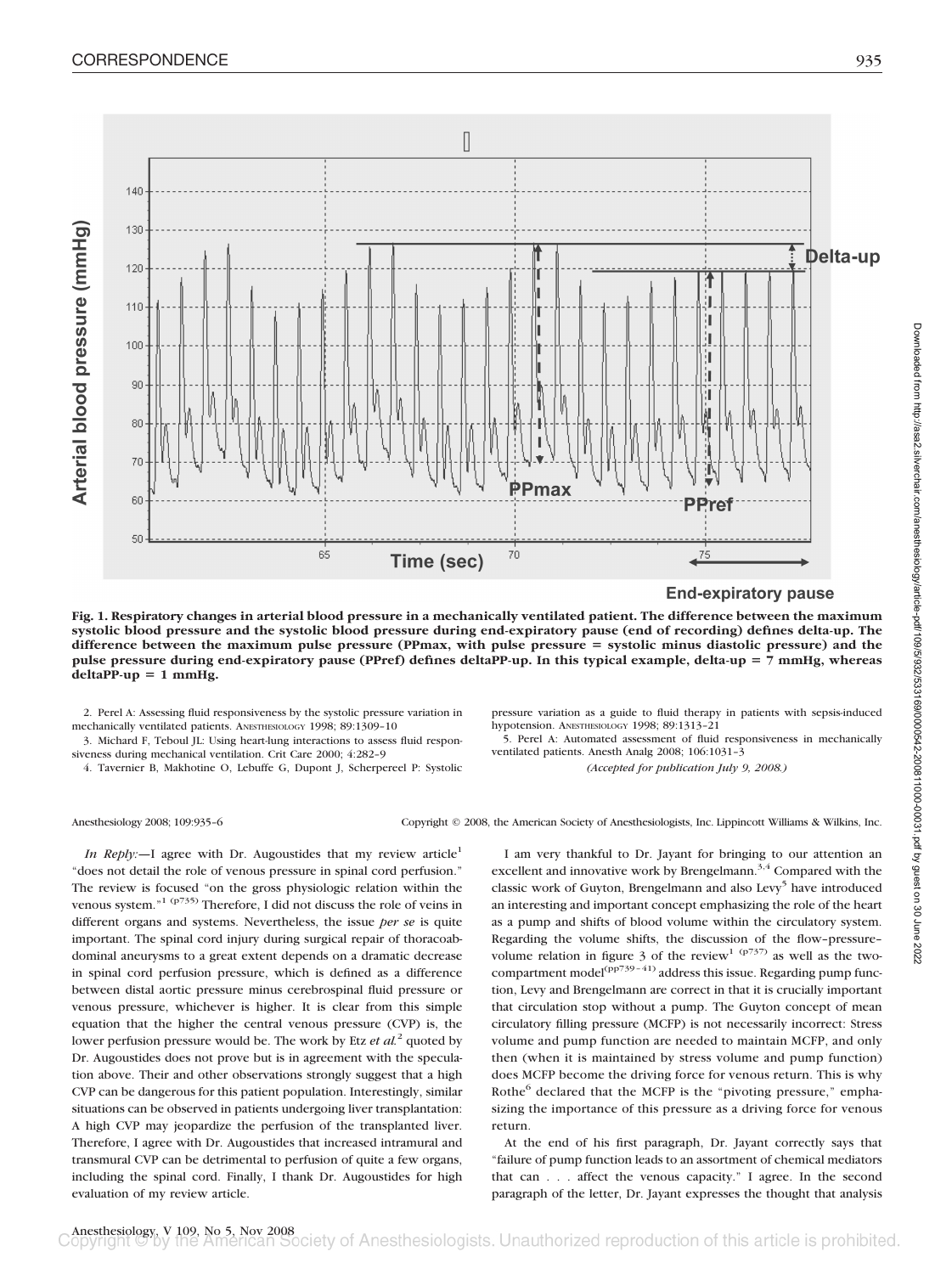

**End-expiratory pause** 

**Fig. 1. Respiratory changes in arterial blood pressure in a mechanically ventilated patient. The difference between the maximum systolic blood pressure and the systolic blood pressure during end-expiratory pause (end of recording) defines delta-up. The difference between the maximum pulse pressure (PPmax, with pulse pressure systolic minus diastolic pressure) and the pulse pressure during end-expiratory pause (PPref) defines deltaPP-up. In this typical example, delta-up 7 mmHg, whereas**  $delta$ P-up = 1 mmHg.

2. Perel A: Assessing fluid responsiveness by the systolic pressure variation in mechanically ventilated patients. ANESTHESIOLOGY 1998; 89:1309–10

3. Michard F, Teboul JL: Using heart-lung interactions to assess fluid responsiveness during mechanical ventilation. Crit Care 2000; 4:282–9

4. Tavernier B, Makhotine O, Lebuffe G, Dupont J, Scherpereel P: Systolic

pressure variation as a guide to fluid therapy in patients with sepsis-induced hypotension. ANESTHESIOLOGY 1998; 89:1313–21

5. Perel A: Automated assessment of fluid responsiveness in mechanically ventilated patients. Anesth Analg 2008; 106:1031–3

*(Accepted for publication July 9, 2008.)*

Anesthesiology 2008; 109:935–6 Copyright © 2008, the American Society of Anesthesiologists, Inc. Lippincott Williams & Wilkins, Inc.

*In Reply:*—I agree with Dr. Augoustides that my review article<sup>1</sup> "does not detail the role of venous pressure in spinal cord perfusion." The review is focused "on the gross physiologic relation within the venous system."1 (p735) Therefore, I did not discuss the role of veins in different organs and systems. Nevertheless, the issue *per se* is quite important. The spinal cord injury during surgical repair of thoracoabdominal aneurysms to a great extent depends on a dramatic decrease in spinal cord perfusion pressure, which is defined as a difference between distal aortic pressure minus cerebrospinal fluid pressure or venous pressure, whichever is higher. It is clear from this simple equation that the higher the central venous pressure (CVP) is, the lower perfusion pressure would be. The work by Etz *et al.*<sup>2</sup> quoted by Dr. Augoustides does not prove but is in agreement with the speculation above. Their and other observations strongly suggest that a high CVP can be dangerous for this patient population. Interestingly, similar situations can be observed in patients undergoing liver transplantation: A high CVP may jeopardize the perfusion of the transplanted liver. Therefore, I agree with Dr. Augoustides that increased intramural and transmural CVP can be detrimental to perfusion of quite a few organs, including the spinal cord. Finally, I thank Dr. Augoustides for high evaluation of my review article.

I am very thankful to Dr. Jayant for bringing to our attention an excellent and innovative work by Brengelmann.<sup>3,4</sup> Compared with the classic work of Guyton, Brengelmann and also Levy<sup>5</sup> have introduced an interesting and important concept emphasizing the role of the heart as a pump and shifts of blood volume within the circulatory system. Regarding the volume shifts, the discussion of the flow–pressure– volume relation in figure 3 of the review<sup>1 (p737)</sup> as well as the twocompartment model<sup>(pp739-41)</sup> address this issue. Regarding pump function, Levy and Brengelmann are correct in that it is crucially important that circulation stop without a pump. The Guyton concept of mean circulatory filling pressure (MCFP) is not necessarily incorrect: Stress volume and pump function are needed to maintain MCFP, and only then (when it is maintained by stress volume and pump function) does MCFP become the driving force for venous return. This is why Rothe<sup>6</sup> declared that the MCFP is the "pivoting pressure," emphasizing the importance of this pressure as a driving force for venous return.

At the end of his first paragraph, Dr. Jayant correctly says that "failure of pump function leads to an assortment of chemical mediators that can... affect the venous capacity." I agree. In the second paragraph of the letter, Dr. Jayant expresses the thought that analysis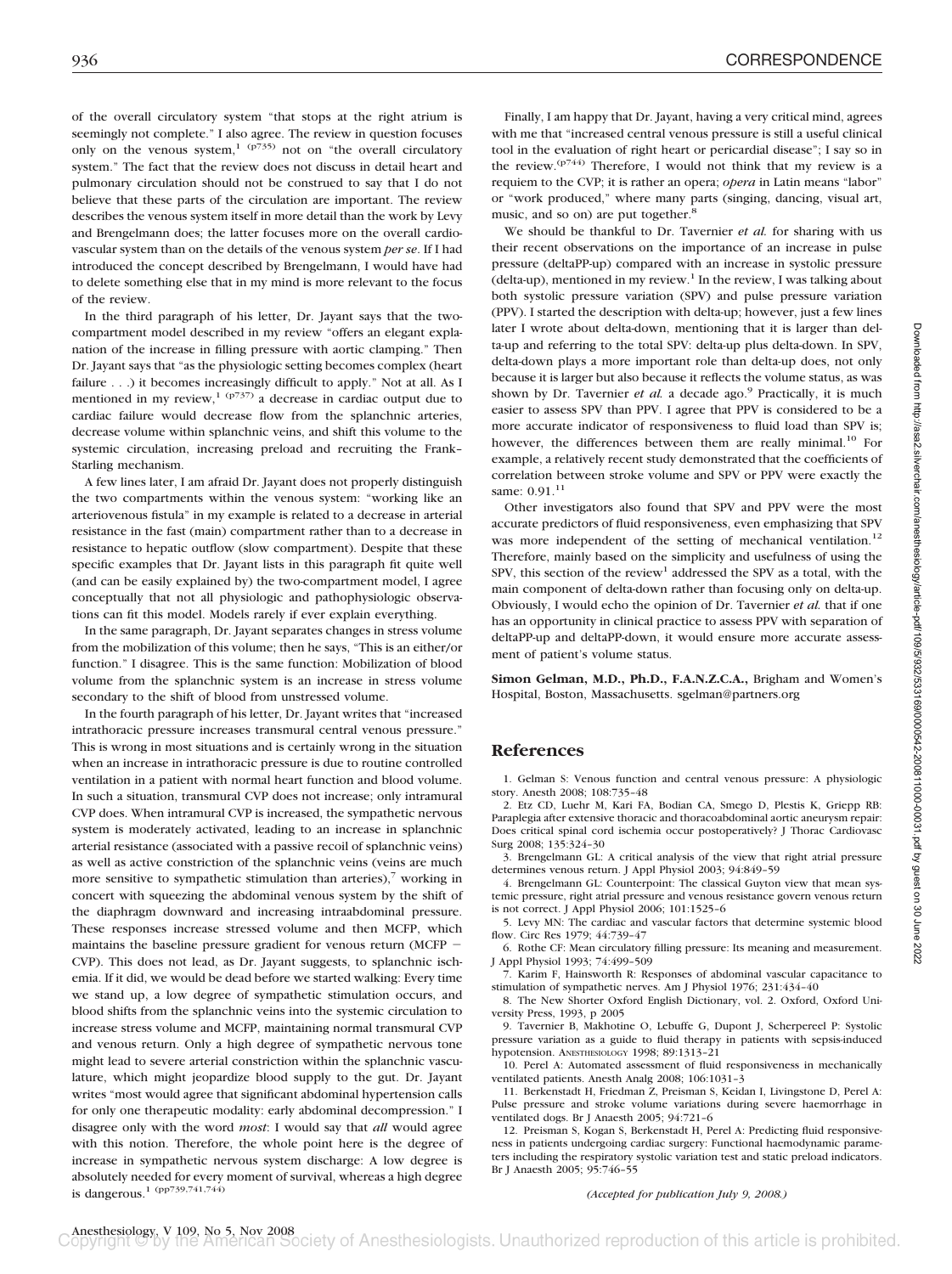of the overall circulatory system "that stops at the right atrium is seemingly not complete." I also agree. The review in question focuses only on the venous system,<sup>1</sup> ( $p735$ ) not on "the overall circulatory system." The fact that the review does not discuss in detail heart and pulmonary circulation should not be construed to say that I do not believe that these parts of the circulation are important. The review describes the venous system itself in more detail than the work by Levy and Brengelmann does; the latter focuses more on the overall cardiovascular system than on the details of the venous system *per se*. If I had introduced the concept described by Brengelmann, I would have had to delete something else that in my mind is more relevant to the focus of the review.

In the third paragraph of his letter, Dr. Jayant says that the twocompartment model described in my review "offers an elegant explanation of the increase in filling pressure with aortic clamping." Then Dr. Jayant says that "as the physiologic setting becomes complex (heart failure . . .) it becomes increasingly difficult to apply." Not at all. As I mentioned in my review,<sup>1 (p737)</sup> a decrease in cardiac output due to cardiac failure would decrease flow from the splanchnic arteries, decrease volume within splanchnic veins, and shift this volume to the systemic circulation, increasing preload and recruiting the Frank– Starling mechanism.

A few lines later, I am afraid Dr. Jayant does not properly distinguish the two compartments within the venous system: "working like an arteriovenous fistula" in my example is related to a decrease in arterial resistance in the fast (main) compartment rather than to a decrease in resistance to hepatic outflow (slow compartment). Despite that these specific examples that Dr. Jayant lists in this paragraph fit quite well (and can be easily explained by) the two-compartment model, I agree conceptually that not all physiologic and pathophysiologic observations can fit this model. Models rarely if ever explain everything.

In the same paragraph, Dr. Jayant separates changes in stress volume from the mobilization of this volume; then he says, "This is an either/or function." I disagree. This is the same function: Mobilization of blood volume from the splanchnic system is an increase in stress volume secondary to the shift of blood from unstressed volume.

In the fourth paragraph of his letter, Dr. Jayant writes that "increased intrathoracic pressure increases transmural central venous pressure." This is wrong in most situations and is certainly wrong in the situation when an increase in intrathoracic pressure is due to routine controlled ventilation in a patient with normal heart function and blood volume. In such a situation, transmural CVP does not increase; only intramural CVP does. When intramural CVP is increased, the sympathetic nervous system is moderately activated, leading to an increase in splanchnic arterial resistance (associated with a passive recoil of splanchnic veins) as well as active constriction of the splanchnic veins (veins are much more sensitive to sympathetic stimulation than arteries), $\frac{7}{7}$  working in concert with squeezing the abdominal venous system by the shift of the diaphragm downward and increasing intraabdominal pressure. These responses increase stressed volume and then MCFP, which maintains the baseline pressure gradient for venous return (MCFP CVP). This does not lead, as Dr. Jayant suggests, to splanchnic ischemia. If it did, we would be dead before we started walking: Every time we stand up, a low degree of sympathetic stimulation occurs, and blood shifts from the splanchnic veins into the systemic circulation to increase stress volume and MCFP, maintaining normal transmural CVP and venous return. Only a high degree of sympathetic nervous tone might lead to severe arterial constriction within the splanchnic vasculature, which might jeopardize blood supply to the gut. Dr. Jayant writes "most would agree that significant abdominal hypertension calls for only one therapeutic modality: early abdominal decompression." I disagree only with the word *most*: I would say that *all* would agree with this notion. Therefore, the whole point here is the degree of increase in sympathetic nervous system discharge: A low degree is absolutely needed for every moment of survival, whereas a high degree is dangerous.1 (pp739,741,744)

Finally, I am happy that Dr. Jayant, having a very critical mind, agrees with me that "increased central venous pressure is still a useful clinical tool in the evaluation of right heart or pericardial disease"; I say so in the review.<sup>(p744)</sup> Therefore, I would not think that my review is a requiem to the CVP; it is rather an opera; *opera* in Latin means "labor" or "work produced," where many parts (singing, dancing, visual art, music, and so on) are put together.<sup>8</sup>

We should be thankful to Dr. Tavernier *et al.* for sharing with us their recent observations on the importance of an increase in pulse pressure (deltaPP-up) compared with an increase in systolic pressure  $(delta-up)$ , mentioned in my review.<sup>1</sup> In the review, I was talking about both systolic pressure variation (SPV) and pulse pressure variation (PPV). I started the description with delta-up; however, just a few lines later I wrote about delta-down, mentioning that it is larger than delta-up and referring to the total SPV: delta-up plus delta-down. In SPV, delta-down plays a more important role than delta-up does, not only because it is larger but also because it reflects the volume status, as was shown by Dr. Tavernier *et al.* a decade ago.<sup>9</sup> Practically, it is much easier to assess SPV than PPV. I agree that PPV is considered to be a more accurate indicator of responsiveness to fluid load than SPV is; however, the differences between them are really minimal.<sup>10</sup> For example, a relatively recent study demonstrated that the coefficients of correlation between stroke volume and SPV or PPV were exactly the same: 0.91.<sup>11</sup>

Other investigators also found that SPV and PPV were the most accurate predictors of fluid responsiveness, even emphasizing that SPV was more independent of the setting of mechanical ventilation.<sup>12</sup> Therefore, mainly based on the simplicity and usefulness of using the SPV, this section of the review<sup>1</sup> addressed the SPV as a total, with the main component of delta-down rather than focusing only on delta-up. Obviously, I would echo the opinion of Dr. Tavernier *et al.* that if one has an opportunity in clinical practice to assess PPV with separation of deltaPP-up and deltaPP-down, it would ensure more accurate assessment of patient's volume status.

**Simon Gelman, M.D., Ph.D., F.A.N.Z.C.A.,** Brigham and Women's Hospital, Boston, Massachusetts. sgelman@partners.org

## **References**

1. Gelman S: Venous function and central venous pressure: A physiologic story. Anesth 2008; 108:735–48

2. Etz CD, Luehr M, Kari FA, Bodian CA, Smego D, Plestis K, Griepp RB: Paraplegia after extensive thoracic and thoracoabdominal aortic aneurysm repair: Does critical spinal cord ischemia occur postoperatively? J Thorac Cardiovasc Surg 2008; 135:324–30

3. Brengelmann GL: A critical analysis of the view that right atrial pressure determines venous return. J Appl Physiol 2003; 94:849–59

4. Brengelmann GL: Counterpoint: The classical Guyton view that mean systemic pressure, right atrial pressure and venous resistance govern venous return is not correct. J Appl Physiol 2006; 101:1525–6

5. Levy MN: The cardiac and vascular factors that determine systemic blood flow. Circ Res 1979; 44:739–47

6. Rothe CF: Mean circulatory filling pressure: Its meaning and measurement. J Appl Physiol 1993; 74:499–509

7. Karim F, Hainsworth R: Responses of abdominal vascular capacitance to stimulation of sympathetic nerves. Am J Physiol 1976; 231:434–40

8. The New Shorter Oxford English Dictionary, vol. 2. Oxford, Oxford University Press, 1993, p 2005

9. Tavernier B, Makhotine O, Lebuffe G, Dupont J, Scherpereel P: Systolic pressure variation as a guide to fluid therapy in patients with sepsis-induced hypotension. ANESTHESIOLOGY 1998; 89:1313–21

10. Perel A: Automated assessment of fluid responsiveness in mechanically ventilated patients. Anesth Analg 2008; 106:1031–3

11. Berkenstadt H, Friedman Z, Preisman S, Keidan I, Livingstone D, Perel A: Pulse pressure and stroke volume variations during severe haemorrhage in ventilated dogs. Br J Anaesth 2005; 94:721–6

12. Preisman S, Kogan S, Berkenstadt H, Perel A: Predicting fluid responsiveness in patients undergoing cardiac surgery: Functional haemodynamic parameters including the respiratory systolic variation test and static preload indicators. Br J Anaesth 2005; 95:746–55

*(Accepted for publication July 9, 2008.)*